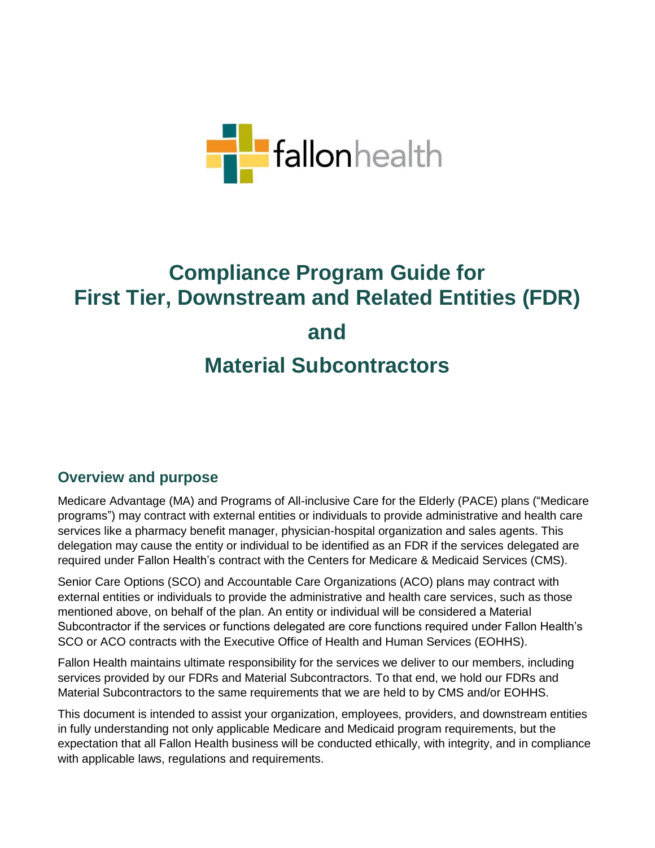

# **Compliance Program Guide for First Tier, Downstream and Related Entities (FDR) and Material Subcontractors**

## **Overview and purpose**

Medicare Advantage (MA) and Programs of All-inclusive Care for the Elderly (PACE) plans ("Medicare programs") may contract with external entities or individuals to provide administrative and health care services like a pharmacy benefit manager, physician-hospital organization and sales agents. This delegation may cause the entity or individual to be identified as an FDR if the services delegated are required under Fallon Health's contract with the Centers for Medicare & Medicaid Services (CMS).

Senior Care Options (SCO) and Accountable Care Organizations (ACO) plans may contract with external entities or individuals to provide the administrative and health care services, such as those mentioned above, on behalf of the plan. An entity or individual will be considered a Material Subcontractor if the services or functions delegated are core functions required under Fallon Health's SCO or ACO contracts with the Executive Office of Health and Human Services (EOHHS).

Fallon Health maintains ultimate responsibility for the services we deliver to our members, including services provided by our FDRs and Material Subcontractors. To that end, we hold our FDRs and Material Subcontractors to the same requirements that we are held to by CMS and/or EOHHS.

This document is intended to assist your organization, employees, providers, and downstream entities in fully understanding not only applicable Medicare and Medicaid program requirements, but the expectation that all Fallon Health business will be conducted ethically, with integrity, and in compliance with applicable laws, regulations and requirements.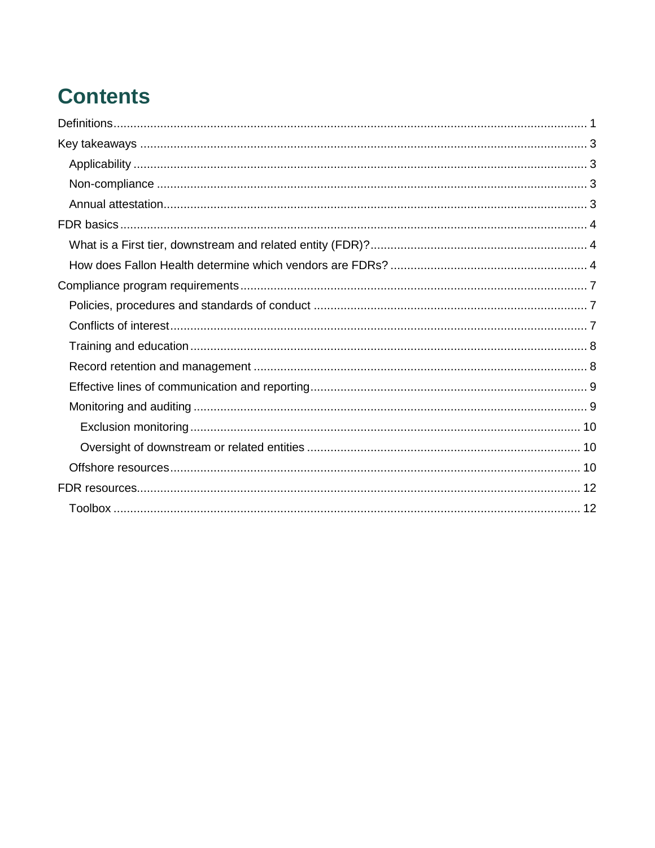# **Contents**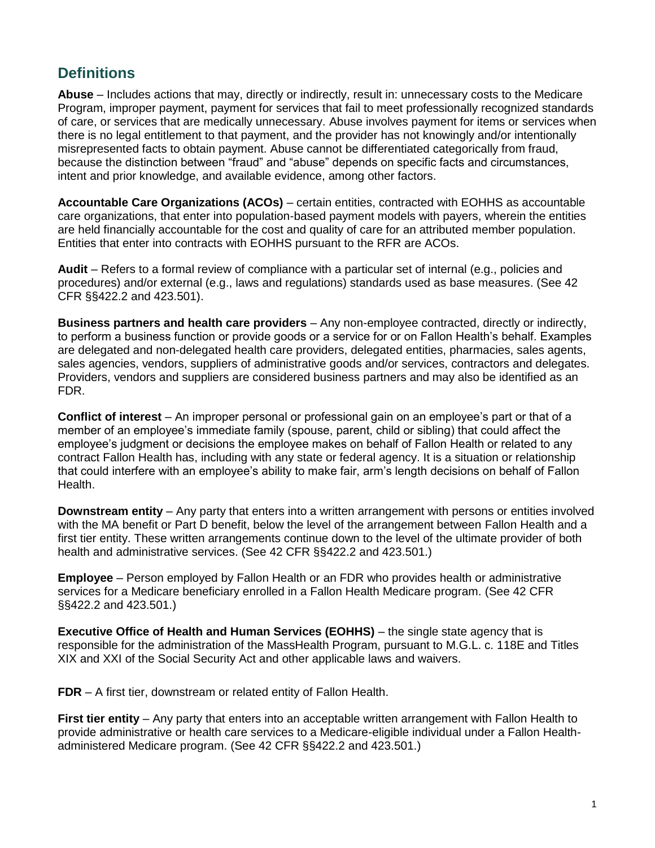## <span id="page-2-0"></span>**Definitions**

**Abuse** – Includes actions that may, directly or indirectly, result in: unnecessary costs to the Medicare Program, improper payment, payment for services that fail to meet professionally recognized standards of care, or services that are medically unnecessary. Abuse involves payment for items or services when there is no legal entitlement to that payment, and the provider has not knowingly and/or intentionally misrepresented facts to obtain payment. Abuse cannot be differentiated categorically from fraud, because the distinction between "fraud" and "abuse" depends on specific facts and circumstances, intent and prior knowledge, and available evidence, among other factors.

**Accountable Care Organizations (ACOs)** – certain entities, contracted with EOHHS as accountable care organizations, that enter into population-based payment models with payers, wherein the entities are held financially accountable for the cost and quality of care for an attributed member population. Entities that enter into contracts with EOHHS pursuant to the RFR are ACOs.

**Audit** – Refers to a formal review of compliance with a particular set of internal (e.g., policies and procedures) and/or external (e.g., laws and regulations) standards used as base measures. (See 42 CFR §§422.2 and 423.501).

**Business partners and health care providers** – Any non-employee contracted, directly or indirectly, to perform a business function or provide goods or a service for or on Fallon Health's behalf. Examples are delegated and non-delegated health care providers, delegated entities, pharmacies, sales agents, sales agencies, vendors, suppliers of administrative goods and/or services, contractors and delegates. Providers, vendors and suppliers are considered business partners and may also be identified as an FDR.

**Conflict of interest** – An improper personal or professional gain on an employee's part or that of a member of an employee's immediate family (spouse, parent, child or sibling) that could affect the employee's judgment or decisions the employee makes on behalf of Fallon Health or related to any contract Fallon Health has, including with any state or federal agency. It is a situation or relationship that could interfere with an employee's ability to make fair, arm's length decisions on behalf of Fallon Health.

**Downstream entity** – Any party that enters into a written arrangement with persons or entities involved with the MA benefit or Part D benefit, below the level of the arrangement between Fallon Health and a first tier entity. These written arrangements continue down to the level of the ultimate provider of both health and administrative services. (See 42 CFR §§422.2 and 423.501.)

**Employee** – Person employed by Fallon Health or an FDR who provides health or administrative services for a Medicare beneficiary enrolled in a Fallon Health Medicare program. (See 42 CFR §§422.2 and 423.501.)

**Executive Office of Health and Human Services (EOHHS)** – the single state agency that is responsible for the administration of the MassHealth Program, pursuant to M.G.L. c. 118E and Titles XIX and XXI of the Social Security Act and other applicable laws and waivers.

**FDR** – A first tier, downstream or related entity of Fallon Health.

**First tier entity** – Any party that enters into an acceptable written arrangement with Fallon Health to provide administrative or health care services to a Medicare-eligible individual under a Fallon Healthadministered Medicare program. (See 42 CFR §§422.2 and 423.501.)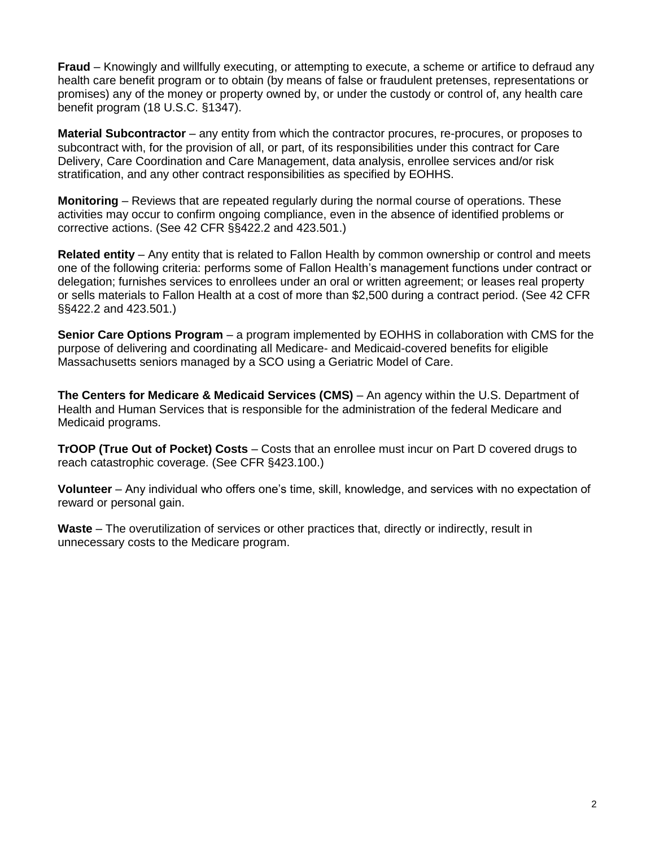**Fraud** – Knowingly and willfully executing, or attempting to execute, a scheme or artifice to defraud any health care benefit program or to obtain (by means of false or fraudulent pretenses, representations or promises) any of the money or property owned by, or under the custody or control of, any health care benefit program (18 U.S.C. §1347).

**Material Subcontractor** – any entity from which the contractor procures, re-procures, or proposes to subcontract with, for the provision of all, or part, of its responsibilities under this contract for Care Delivery, Care Coordination and Care Management, data analysis, enrollee services and/or risk stratification, and any other contract responsibilities as specified by EOHHS.

**Monitoring** – Reviews that are repeated regularly during the normal course of operations. These activities may occur to confirm ongoing compliance, even in the absence of identified problems or corrective actions. (See 42 CFR §§422.2 and 423.501.)

**Related entity** – Any entity that is related to Fallon Health by common ownership or control and meets one of the following criteria: performs some of Fallon Health's management functions under contract or delegation; furnishes services to enrollees under an oral or written agreement; or leases real property or sells materials to Fallon Health at a cost of more than \$2,500 during a contract period. (See 42 CFR §§422.2 and 423.501.)

**Senior Care Options Program** – a program implemented by EOHHS in collaboration with CMS for the purpose of delivering and coordinating all Medicare- and Medicaid-covered benefits for eligible Massachusetts seniors managed by a SCO using a Geriatric Model of Care.

**The Centers for Medicare & Medicaid Services (CMS)** – An agency within the U.S. Department of Health and Human Services that is responsible for the administration of the federal Medicare and Medicaid programs.

**TrOOP (True Out of Pocket) Costs** – Costs that an enrollee must incur on Part D covered drugs to reach catastrophic coverage. (See CFR §423.100.)

**Volunteer** – Any individual who offers one's time, skill, knowledge, and services with no expectation of reward or personal gain.

Waste – The overutilization of services or other practices that, directly or indirectly, result in unnecessary costs to the Medicare program.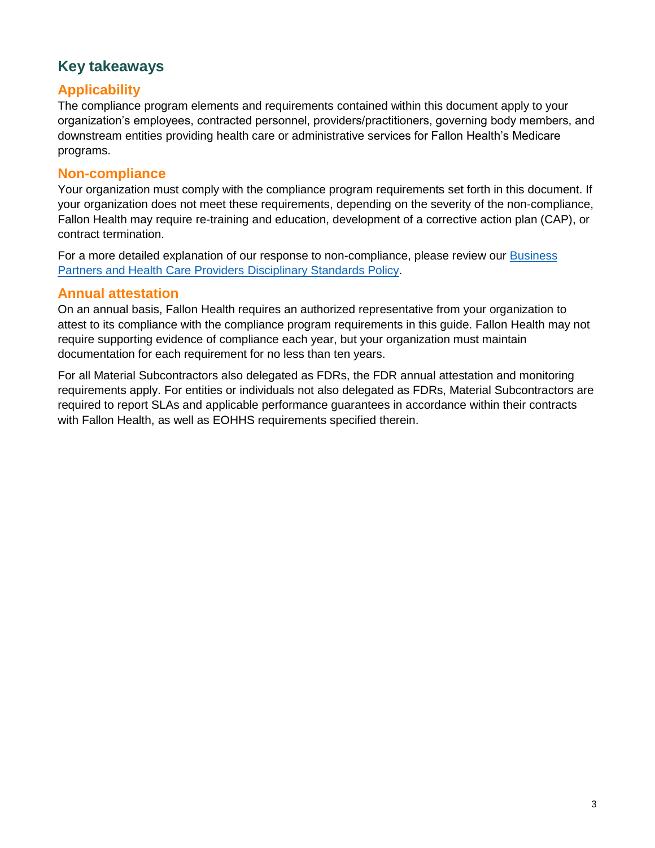# <span id="page-4-0"></span>**Key takeaways**

## <span id="page-4-1"></span>**Applicability**

The compliance program elements and requirements contained within this document apply to your organization's employees, contracted personnel, providers/practitioners, governing body members, and downstream entities providing health care or administrative services for Fallon Health's Medicare programs.

#### <span id="page-4-2"></span>**Non-compliance**

Your organization must comply with the compliance program requirements set forth in this document. If your organization does not meet these requirements, depending on the severity of the non-compliance, Fallon Health may require re-training and education, development of a corrective action plan (CAP), or contract termination.

For a more detailed explanation of our response to non-compliance, please review our [Business](http://www.fchp.org/~/media/Files/General/CMSvendors/disciplinarystandardspolicy.aspx)  [Partners and Health Care Providers](http://www.fchp.org/~/media/Files/General/CMSvendors/disciplinarystandardspolicy.aspx) Disciplinary Standards Policy.

#### <span id="page-4-3"></span>**Annual attestation**

On an annual basis, Fallon Health requires an authorized representative from your organization to attest to its compliance with the compliance program requirements in this guide. Fallon Health may not require supporting evidence of compliance each year, but your organization must maintain documentation for each requirement for no less than ten years.

For all Material Subcontractors also delegated as FDRs, the FDR annual attestation and monitoring requirements apply. For entities or individuals not also delegated as FDRs, Material Subcontractors are required to report SLAs and applicable performance guarantees in accordance within their contracts with Fallon Health, as well as EOHHS requirements specified therein.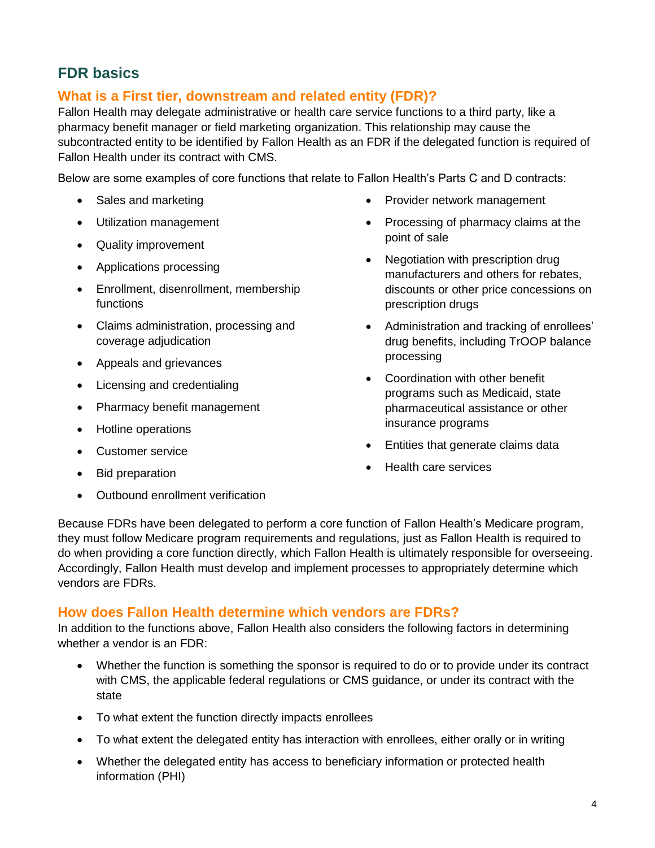# <span id="page-5-0"></span>**FDR basics**

## <span id="page-5-1"></span>**What is a First tier, downstream and related entity (FDR)?**

Fallon Health may delegate administrative or health care service functions to a third party, like a pharmacy benefit manager or field marketing organization. This relationship may cause the subcontracted entity to be identified by Fallon Health as an FDR if the delegated function is required of Fallon Health under its contract with CMS.

Below are some examples of core functions that relate to Fallon Health's Parts C and D contracts:

- Sales and marketing
- Utilization management
- Quality improvement
- Applications processing
- Enrollment, disenrollment, membership functions
- Claims administration, processing and coverage adjudication
- Appeals and grievances
- Licensing and credentialing
- Pharmacy benefit management
- Hotline operations
- **Customer service**
- Bid preparation
- Outbound enrollment verification
- Provider network management
- Processing of pharmacy claims at the point of sale
- Negotiation with prescription drug manufacturers and others for rebates, discounts or other price concessions on prescription drugs
- Administration and tracking of enrollees' drug benefits, including TrOOP balance processing
- Coordination with other benefit programs such as Medicaid, state pharmaceutical assistance or other insurance programs
- Entities that generate claims data
- Health care services

Because FDRs have been delegated to perform a core function of Fallon Health's Medicare program, they must follow Medicare program requirements and regulations, just as Fallon Health is required to do when providing a core function directly, which Fallon Health is ultimately responsible for overseeing. Accordingly, Fallon Health must develop and implement processes to appropriately determine which vendors are FDRs.

### <span id="page-5-2"></span>**How does Fallon Health determine which vendors are FDRs?**

In addition to the functions above, Fallon Health also considers the following factors in determining whether a vendor is an FDR:

- Whether the function is something the sponsor is required to do or to provide under its contract with CMS, the applicable federal regulations or CMS guidance, or under its contract with the state
- To what extent the function directly impacts enrollees
- To what extent the delegated entity has interaction with enrollees, either orally or in writing
- Whether the delegated entity has access to beneficiary information or protected health information (PHI)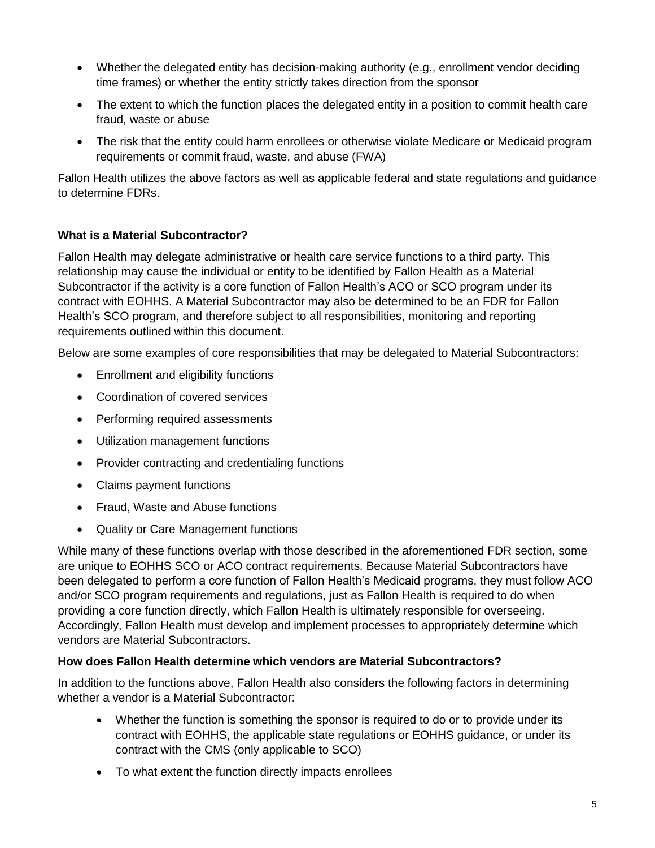- Whether the delegated entity has decision-making authority (e.g., enrollment vendor deciding time frames) or whether the entity strictly takes direction from the sponsor
- The extent to which the function places the delegated entity in a position to commit health care fraud, waste or abuse
- The risk that the entity could harm enrollees or otherwise violate Medicare or Medicaid program requirements or commit fraud, waste, and abuse (FWA)

Fallon Health utilizes the above factors as well as applicable federal and state regulations and guidance to determine FDRs.

#### **What is a Material Subcontractor?**

Fallon Health may delegate administrative or health care service functions to a third party. This relationship may cause the individual or entity to be identified by Fallon Health as a Material Subcontractor if the activity is a core function of Fallon Health's ACO or SCO program under its contract with EOHHS. A Material Subcontractor may also be determined to be an FDR for Fallon Health's SCO program, and therefore subject to all responsibilities, monitoring and reporting requirements outlined within this document.

Below are some examples of core responsibilities that may be delegated to Material Subcontractors:

- Enrollment and eligibility functions
- Coordination of covered services
- Performing required assessments
- Utilization management functions
- Provider contracting and credentialing functions
- Claims payment functions
- Fraud, Waste and Abuse functions
- Quality or Care Management functions

While many of these functions overlap with those described in the aforementioned FDR section, some are unique to EOHHS SCO or ACO contract requirements. Because Material Subcontractors have been delegated to perform a core function of Fallon Health's Medicaid programs, they must follow ACO and/or SCO program requirements and regulations, just as Fallon Health is required to do when providing a core function directly, which Fallon Health is ultimately responsible for overseeing. Accordingly, Fallon Health must develop and implement processes to appropriately determine which vendors are Material Subcontractors.

#### **How does Fallon Health determine which vendors are Material Subcontractors?**

In addition to the functions above, Fallon Health also considers the following factors in determining whether a vendor is a Material Subcontractor:

- Whether the function is something the sponsor is required to do or to provide under its contract with EOHHS, the applicable state regulations or EOHHS guidance, or under its contract with the CMS (only applicable to SCO)
- To what extent the function directly impacts enrollees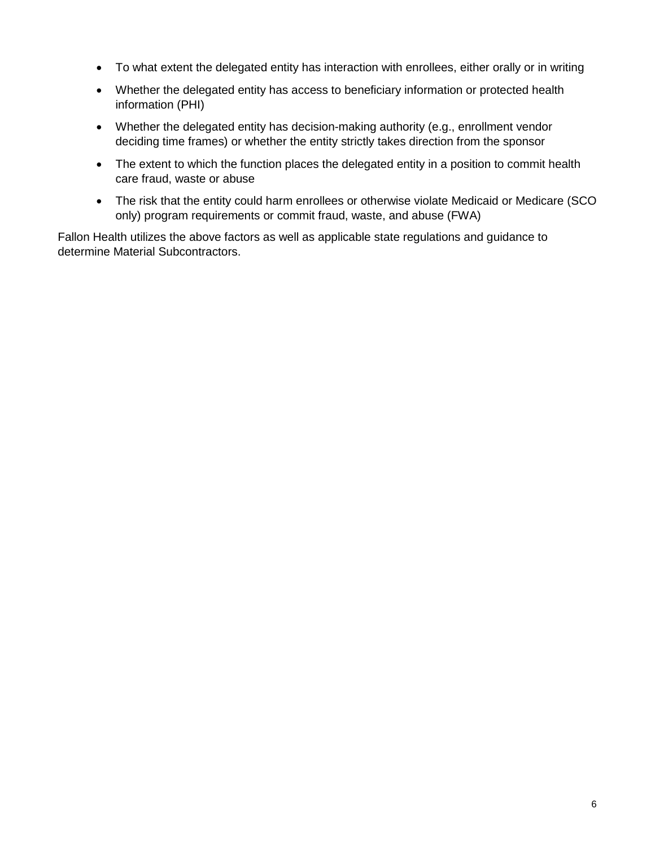- To what extent the delegated entity has interaction with enrollees, either orally or in writing
- Whether the delegated entity has access to beneficiary information or protected health information (PHI)
- Whether the delegated entity has decision-making authority (e.g., enrollment vendor deciding time frames) or whether the entity strictly takes direction from the sponsor
- The extent to which the function places the delegated entity in a position to commit health care fraud, waste or abuse
- The risk that the entity could harm enrollees or otherwise violate Medicaid or Medicare (SCO only) program requirements or commit fraud, waste, and abuse (FWA)

Fallon Health utilizes the above factors as well as applicable state regulations and guidance to determine Material Subcontractors.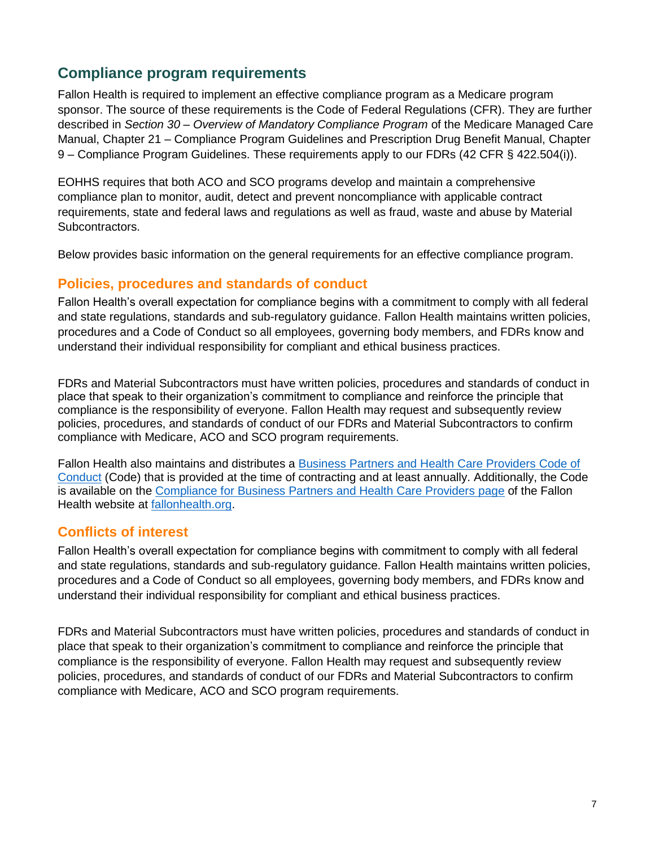## <span id="page-8-0"></span>**Compliance program requirements**

Fallon Health is required to implement an effective compliance program as a Medicare program sponsor. The source of these requirements is the Code of Federal Regulations (CFR). They are further described in *Section 30 – Overview of Mandatory Compliance Program* of the Medicare Managed Care Manual, Chapter 21 – Compliance Program Guidelines and Prescription Drug Benefit Manual, Chapter 9 – Compliance Program Guidelines. These requirements apply to our FDRs (42 CFR § 422.504(i)).

EOHHS requires that both ACO and SCO programs develop and maintain a comprehensive compliance plan to monitor, audit, detect and prevent noncompliance with applicable contract requirements, state and federal laws and regulations as well as fraud, waste and abuse by Material Subcontractors.

Below provides basic information on the general requirements for an effective compliance program.

#### <span id="page-8-1"></span>**Policies, procedures and standards of conduct**

Fallon Health's overall expectation for compliance begins with a commitment to comply with all federal and state regulations, standards and sub-regulatory guidance. Fallon Health maintains written policies, procedures and a Code of Conduct so all employees, governing body members, and FDRs know and understand their individual responsibility for compliant and ethical business practices.

FDRs and Material Subcontractors must have written policies, procedures and standards of conduct in place that speak to their organization's commitment to compliance and reinforce the principle that compliance is the responsibility of everyone. Fallon Health may request and subsequently review policies, procedures, and standards of conduct of our FDRs and Material Subcontractors to confirm compliance with Medicare, ACO and SCO program requirements.

Fallon Health also maintains and distributes a Business Partners [and Health Care Providers Code of](http://www.fchp.org/~/media/Files/General/CMSvendors/BPHCPCodeofConduct.ashx)  [Conduct](http://www.fchp.org/~/media/Files/General/CMSvendors/BPHCPCodeofConduct.ashx) (Code) that is provided at the time of contracting and at least annually. Additionally, the Code is available on the [Compliance for Business Partners and Health Care Providers page](http://www.fchp.org/government-programs-vendors) of the Fallon Health website at [fallonhealth.org.](http://www.fchp.org/)

### <span id="page-8-2"></span>**Conflicts of interest**

Fallon Health's overall expectation for compliance begins with commitment to comply with all federal and state regulations, standards and sub-regulatory guidance. Fallon Health maintains written policies, procedures and a Code of Conduct so all employees, governing body members, and FDRs know and understand their individual responsibility for compliant and ethical business practices.

<span id="page-8-3"></span>FDRs and Material Subcontractors must have written policies, procedures and standards of conduct in place that speak to their organization's commitment to compliance and reinforce the principle that compliance is the responsibility of everyone. Fallon Health may request and subsequently review policies, procedures, and standards of conduct of our FDRs and Material Subcontractors to confirm compliance with Medicare, ACO and SCO program requirements.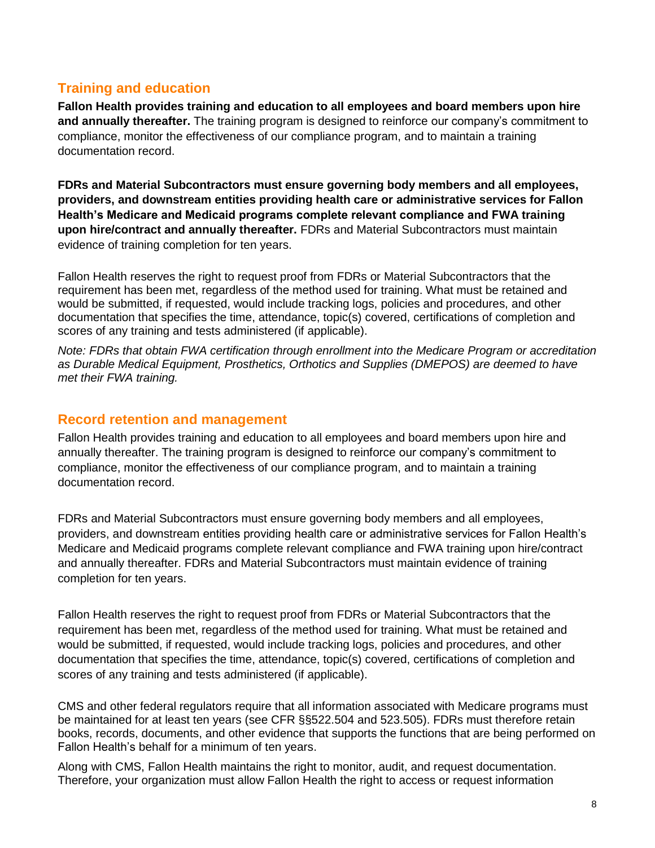## **Training and education**

**Fallon Health provides training and education to all employees and board members upon hire and annually thereafter.** The training program is designed to reinforce our company's commitment to compliance, monitor the effectiveness of our compliance program, and to maintain a training documentation record.

**FDRs and Material Subcontractors must ensure governing body members and all employees, providers, and downstream entities providing health care or administrative services for Fallon Health's Medicare and Medicaid programs complete relevant compliance and FWA training upon hire/contract and annually thereafter.** FDRs and Material Subcontractors must maintain evidence of training completion for ten years.

Fallon Health reserves the right to request proof from FDRs or Material Subcontractors that the requirement has been met, regardless of the method used for training. What must be retained and would be submitted, if requested, would include tracking logs, policies and procedures, and other documentation that specifies the time, attendance, topic(s) covered, certifications of completion and scores of any training and tests administered (if applicable).

*Note: FDRs that obtain FWA certification through enrollment into the Medicare Program or accreditation as Durable Medical Equipment, Prosthetics, Orthotics and Supplies (DMEPOS) are deemed to have met their FWA training.*

## <span id="page-9-0"></span>**Record retention and management**

Fallon Health provides training and education to all employees and board members upon hire and annually thereafter. The training program is designed to reinforce our company's commitment to compliance, monitor the effectiveness of our compliance program, and to maintain a training documentation record.

FDRs and Material Subcontractors must ensure governing body members and all employees, providers, and downstream entities providing health care or administrative services for Fallon Health's Medicare and Medicaid programs complete relevant compliance and FWA training upon hire/contract and annually thereafter. FDRs and Material Subcontractors must maintain evidence of training completion for ten years.

Fallon Health reserves the right to request proof from FDRs or Material Subcontractors that the requirement has been met, regardless of the method used for training. What must be retained and would be submitted, if requested, would include tracking logs, policies and procedures, and other documentation that specifies the time, attendance, topic(s) covered, certifications of completion and scores of any training and tests administered (if applicable).

CMS and other federal regulators require that all information associated with Medicare programs must be maintained for at least ten years (see CFR §§522.504 and 523.505). FDRs must therefore retain books, records, documents, and other evidence that supports the functions that are being performed on Fallon Health's behalf for a minimum of ten years.

Along with CMS, Fallon Health maintains the right to monitor, audit, and request documentation. Therefore, your organization must allow Fallon Health the right to access or request information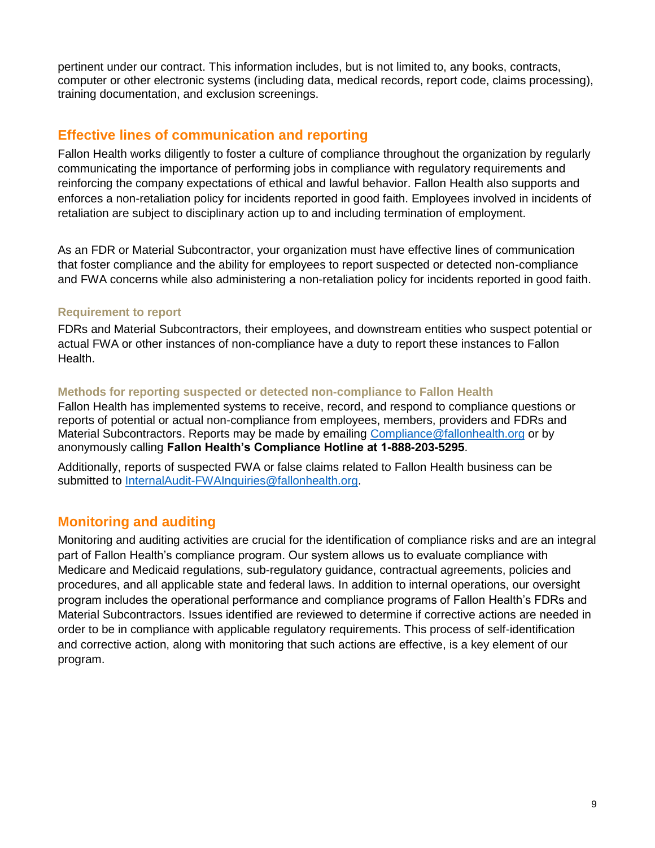pertinent under our contract. This information includes, but is not limited to, any books, contracts, computer or other electronic systems (including data, medical records, report code, claims processing), training documentation, and exclusion screenings.

## <span id="page-10-0"></span>**Effective lines of communication and reporting**

Fallon Health works diligently to foster a culture of compliance throughout the organization by regularly communicating the importance of performing jobs in compliance with regulatory requirements and reinforcing the company expectations of ethical and lawful behavior. Fallon Health also supports and enforces a non-retaliation policy for incidents reported in good faith. Employees involved in incidents of retaliation are subject to disciplinary action up to and including termination of employment.

As an FDR or Material Subcontractor, your organization must have effective lines of communication that foster compliance and the ability for employees to report suspected or detected non-compliance and FWA concerns while also administering a non-retaliation policy for incidents reported in good faith.

#### **Requirement to report**

FDRs and Material Subcontractors, their employees, and downstream entities who suspect potential or actual FWA or other instances of non-compliance have a duty to report these instances to Fallon Health.

#### **Methods for reporting suspected or detected non-compliance to Fallon Health**

Fallon Health has implemented systems to receive, record, and respond to compliance questions or reports of potential or actual non-compliance from employees, members, providers and FDRs and Material Subcontractors. Reports may be made by emailing [Compliance@fallonhealth.org](mailto:Compliance@fallonhealth.org) or by anonymously calling **Fallon Health's Compliance Hotline at 1-888-203-5295**.

Additionally, reports of suspected FWA or false claims related to Fallon Health business can be submitted to [InternalAudit-FWAInquiries@fallonhealth.org.](mailto:InternalAudit-FWAInquiries@fallonhealth.org)

### <span id="page-10-1"></span>**Monitoring and auditing**

Monitoring and auditing activities are crucial for the identification of compliance risks and are an integral part of Fallon Health's compliance program. Our system allows us to evaluate compliance with Medicare and Medicaid regulations, sub-regulatory guidance, contractual agreements, policies and procedures, and all applicable state and federal laws. In addition to internal operations, our oversight program includes the operational performance and compliance programs of Fallon Health's FDRs and Material Subcontractors. Issues identified are reviewed to determine if corrective actions are needed in order to be in compliance with applicable regulatory requirements. This process of self-identification and corrective action, along with monitoring that such actions are effective, is a key element of our program.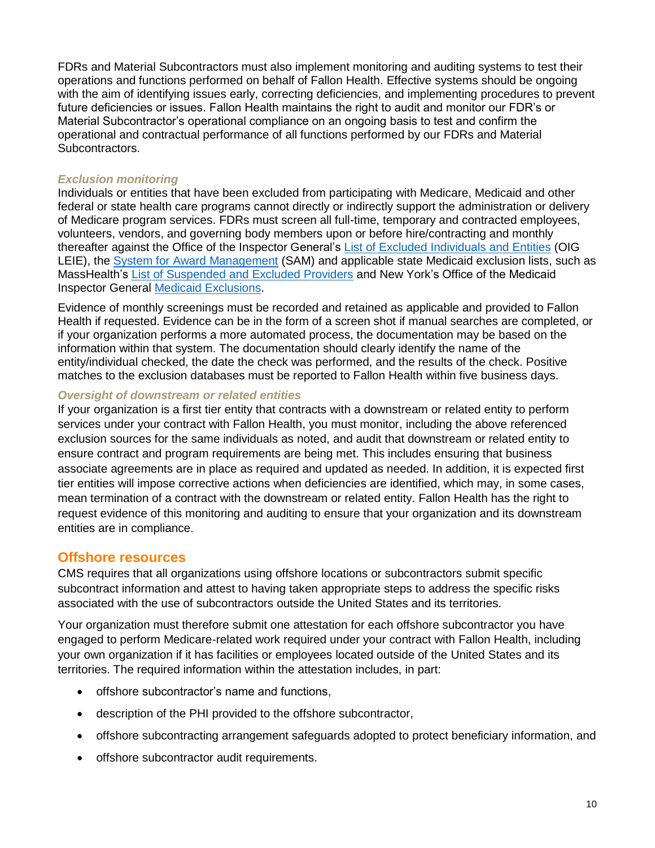FDRs and Material Subcontractors must also implement monitoring and auditing systems to test their operations and functions performed on behalf of Fallon Health. Effective systems should be ongoing with the aim of identifying issues early, correcting deficiencies, and implementing procedures to prevent future deficiencies or issues. Fallon Health maintains the right to audit and monitor our FDR's or Material Subcontractor's operational compliance on an ongoing basis to test and confirm the operational and contractual performance of all functions performed by our FDRs and Material Subcontractors.

#### <span id="page-11-0"></span>*Exclusion monitoring*

Individuals or entities that have been excluded from participating with Medicare, Medicaid and other federal or state health care programs cannot directly or indirectly support the administration or delivery of Medicare program services. FDRs must screen all full-time, temporary and contracted employees, volunteers, vendors, and governing body members upon or before hire/contracting and monthly thereafter against the Office of the Inspector General's [List of Excluded Individuals and Entities](https://oig.hhs.gov/exclusions/index.asp) (OIG LEIE), the [System for Award Management](https://www.sam.gov/SAM/) (SAM) and applicable state Medicaid exclusion lists, such as MassHealth's [List of Suspended and Excluded Providers](https://www.mass.gov/service-details/learn-about-suspended-or-excluded-masshealth-providers) and New York's Office of the Medicaid Inspector General [Medicaid Exclusions.](https://omig.ny.gov/medicaid-fraud/medicaid-exclusions)

Evidence of monthly screenings must be recorded and retained as applicable and provided to Fallon Health if requested. Evidence can be in the form of a screen shot if manual searches are completed, or if your organization performs a more automated process, the documentation may be based on the information within that system. The documentation should clearly identify the name of the entity/individual checked, the date the check was performed, and the results of the check. Positive matches to the exclusion databases must be reported to Fallon Health within five business days.

#### <span id="page-11-1"></span>*Oversight of downstream or related entities*

If your organization is a first tier entity that contracts with a downstream or related entity to perform services under your contract with Fallon Health, you must monitor, including the above referenced exclusion sources for the same individuals as noted, and audit that downstream or related entity to ensure contract and program requirements are being met. This includes ensuring that business associate agreements are in place as required and updated as needed. In addition, it is expected first tier entities will impose corrective actions when deficiencies are identified, which may, in some cases, mean termination of a contract with the downstream or related entity. Fallon Health has the right to request evidence of this monitoring and auditing to ensure that your organization and its downstream entities are in compliance.

#### <span id="page-11-2"></span>**Offshore resources**

CMS requires that all organizations using offshore locations or subcontractors submit specific subcontract information and attest to having taken appropriate steps to address the specific risks associated with the use of subcontractors outside the United States and its territories.

Your organization must therefore submit one attestation for each offshore subcontractor you have engaged to perform Medicare-related work required under your contract with Fallon Health, including your own organization if it has facilities or employees located outside of the United States and its territories. The required information within the attestation includes, in part:

- offshore subcontractor's name and functions,
- description of the PHI provided to the offshore subcontractor,
- offshore subcontracting arrangement safeguards adopted to protect beneficiary information, and
- offshore subcontractor audit requirements.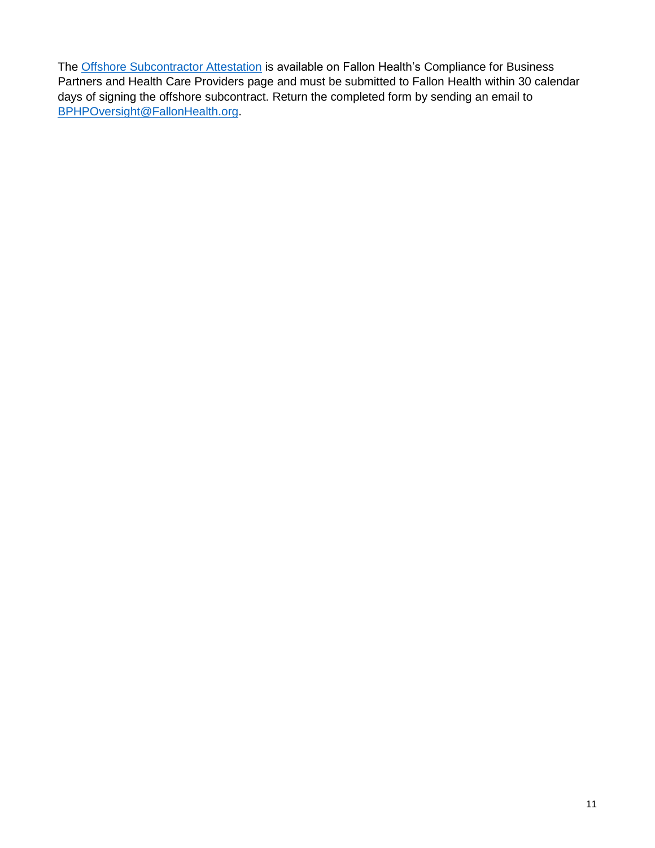The [Offshore Subcontractor Attestation](http://www.fchp.org/~/media/Files/General/CMSvendors/OffshoreAttestation.ashx) is available on Fallon Health's Compliance for Business Partners and Health Care Providers page and must be submitted to Fallon Health within 30 calendar days of signing the offshore subcontract. Return the completed form by sending an email to [BPHPOversight@FallonHealth.org.](mailto:BPHPOversight@FallonHealth.org?subject=Offshore%20Attestation)